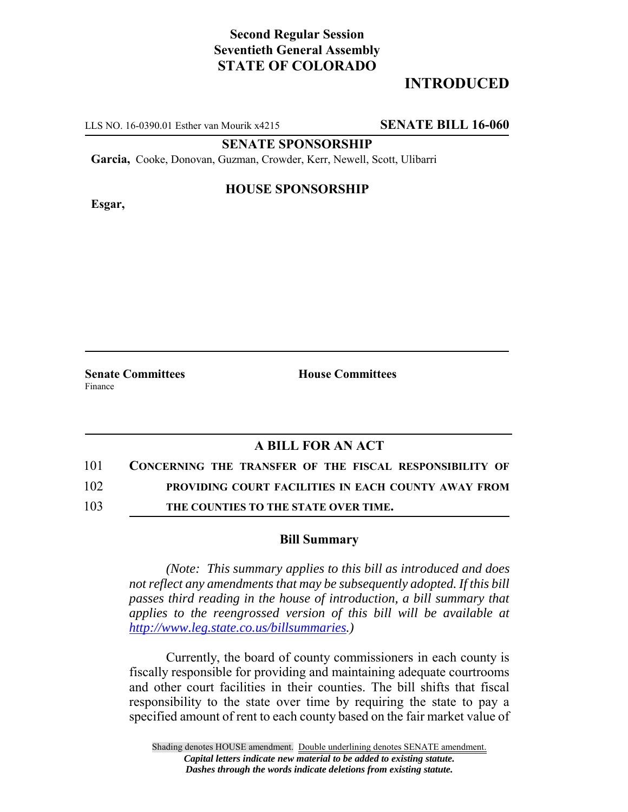# **Second Regular Session Seventieth General Assembly STATE OF COLORADO**

# **INTRODUCED**

LLS NO. 16-0390.01 Esther van Mourik x4215 **SENATE BILL 16-060**

**SENATE SPONSORSHIP**

**Garcia,** Cooke, Donovan, Guzman, Crowder, Kerr, Newell, Scott, Ulibarri

**Esgar,**

### **HOUSE SPONSORSHIP**

**Senate Committees House Committees** Finance

### **A BILL FOR AN ACT**

- 101 **CONCERNING THE TRANSFER OF THE FISCAL RESPONSIBILITY OF** 102 **PROVIDING COURT FACILITIES IN EACH COUNTY AWAY FROM**
- 103 **THE COUNTIES TO THE STATE OVER TIME.**

#### **Bill Summary**

*(Note: This summary applies to this bill as introduced and does not reflect any amendments that may be subsequently adopted. If this bill passes third reading in the house of introduction, a bill summary that applies to the reengrossed version of this bill will be available at http://www.leg.state.co.us/billsummaries.)*

Currently, the board of county commissioners in each county is fiscally responsible for providing and maintaining adequate courtrooms and other court facilities in their counties. The bill shifts that fiscal responsibility to the state over time by requiring the state to pay a specified amount of rent to each county based on the fair market value of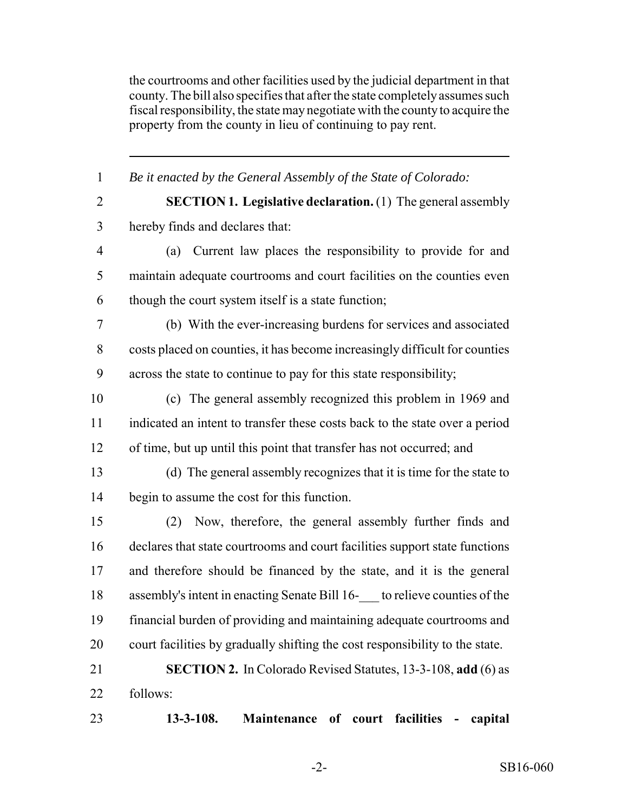the courtrooms and other facilities used by the judicial department in that county. The bill also specifies that after the state completely assumes such fiscal responsibility, the state may negotiate with the county to acquire the property from the county in lieu of continuing to pay rent.

 *Be it enacted by the General Assembly of the State of Colorado:* **SECTION 1. Legislative declaration.** (1) The general assembly hereby finds and declares that: (a) Current law places the responsibility to provide for and maintain adequate courtrooms and court facilities on the counties even though the court system itself is a state function; (b) With the ever-increasing burdens for services and associated costs placed on counties, it has become increasingly difficult for counties across the state to continue to pay for this state responsibility; (c) The general assembly recognized this problem in 1969 and indicated an intent to transfer these costs back to the state over a period of time, but up until this point that transfer has not occurred; and (d) The general assembly recognizes that it is time for the state to begin to assume the cost for this function. (2) Now, therefore, the general assembly further finds and declares that state courtrooms and court facilities support state functions and therefore should be financed by the state, and it is the general assembly's intent in enacting Senate Bill 16-\_\_\_ to relieve counties of the financial burden of providing and maintaining adequate courtrooms and court facilities by gradually shifting the cost responsibility to the state. **SECTION 2.** In Colorado Revised Statutes, 13-3-108, **add** (6) as follows: **13-3-108. Maintenance of court facilities - capital**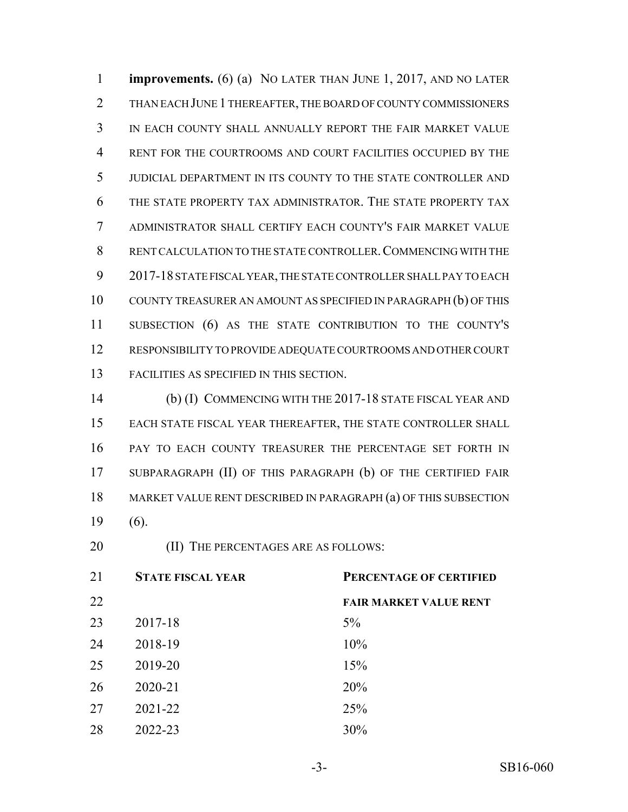**improvements.** (6) (a) NO LATER THAN JUNE 1, 2017, AND NO LATER THAN EACH JUNE 1 THEREAFTER, THE BOARD OF COUNTY COMMISSIONERS IN EACH COUNTY SHALL ANNUALLY REPORT THE FAIR MARKET VALUE RENT FOR THE COURTROOMS AND COURT FACILITIES OCCUPIED BY THE JUDICIAL DEPARTMENT IN ITS COUNTY TO THE STATE CONTROLLER AND THE STATE PROPERTY TAX ADMINISTRATOR. THE STATE PROPERTY TAX ADMINISTRATOR SHALL CERTIFY EACH COUNTY'S FAIR MARKET VALUE RENT CALCULATION TO THE STATE CONTROLLER.COMMENCING WITH THE 2017-18 STATE FISCAL YEAR, THE STATE CONTROLLER SHALL PAY TO EACH COUNTY TREASURER AN AMOUNT AS SPECIFIED IN PARAGRAPH (b) OF THIS SUBSECTION (6) AS THE STATE CONTRIBUTION TO THE COUNTY'S RESPONSIBILITY TO PROVIDE ADEQUATE COURTROOMS AND OTHER COURT FACILITIES AS SPECIFIED IN THIS SECTION.

 (b) (I) COMMENCING WITH THE 2017-18 STATE FISCAL YEAR AND EACH STATE FISCAL YEAR THEREAFTER, THE STATE CONTROLLER SHALL PAY TO EACH COUNTY TREASURER THE PERCENTAGE SET FORTH IN SUBPARAGRAPH (II) OF THIS PARAGRAPH (b) OF THE CERTIFIED FAIR MARKET VALUE RENT DESCRIBED IN PARAGRAPH (a) OF THIS SUBSECTION (6).

**(II) THE PERCENTAGES ARE AS FOLLOWS:** 

| 21 | PERCENTAGE OF CERTIFIED<br><b>STATE FISCAL YEAR</b> |                               |
|----|-----------------------------------------------------|-------------------------------|
| 22 |                                                     | <b>FAIR MARKET VALUE RENT</b> |
| 23 | 2017-18                                             | $5\%$                         |
| 24 | 2018-19                                             | 10%                           |
| 25 | 2019-20                                             | 15%                           |
| 26 | 2020-21                                             | 20%                           |
| 27 | 2021-22                                             | 25%                           |
| 28 | 2022-23                                             | 30%                           |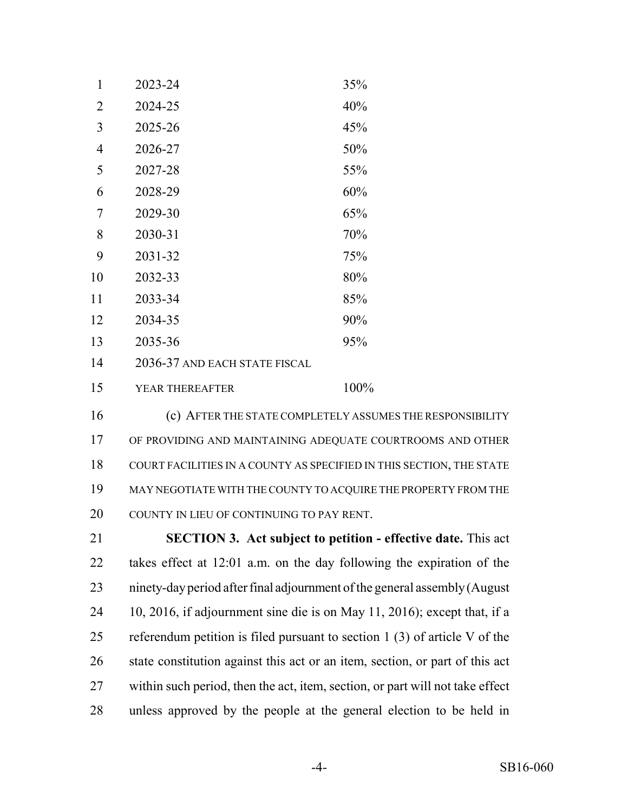| 1              | 2023-24                       | 35%  |
|----------------|-------------------------------|------|
| $\overline{2}$ | 2024-25                       | 40%  |
| 3              | 2025-26                       | 45%  |
| $\overline{4}$ | 2026-27                       | 50%  |
| 5              | 2027-28                       | 55%  |
| 6              | 2028-29                       | 60%  |
| 7              | 2029-30                       | 65%  |
| 8              | 2030-31                       | 70%  |
| 9              | 2031-32                       | 75%  |
| 10             | 2032-33                       | 80%  |
| 11             | 2033-34                       | 85%  |
| 12             | 2034-35                       | 90%  |
| 13             | 2035-36                       | 95%  |
| 14             | 2036-37 AND EACH STATE FISCAL |      |
| 15             | YEAR THEREAFTER               | 100% |

 (c) AFTER THE STATE COMPLETELY ASSUMES THE RESPONSIBILITY OF PROVIDING AND MAINTAINING ADEQUATE COURTROOMS AND OTHER COURT FACILITIES IN A COUNTY AS SPECIFIED IN THIS SECTION, THE STATE MAY NEGOTIATE WITH THE COUNTY TO ACQUIRE THE PROPERTY FROM THE 20 COUNTY IN LIEU OF CONTINUING TO PAY RENT.

 **SECTION 3. Act subject to petition - effective date.** This act takes effect at 12:01 a.m. on the day following the expiration of the ninety-day period after final adjournment of the general assembly (August 10, 2016, if adjournment sine die is on May 11, 2016); except that, if a referendum petition is filed pursuant to section 1 (3) of article V of the state constitution against this act or an item, section, or part of this act within such period, then the act, item, section, or part will not take effect unless approved by the people at the general election to be held in